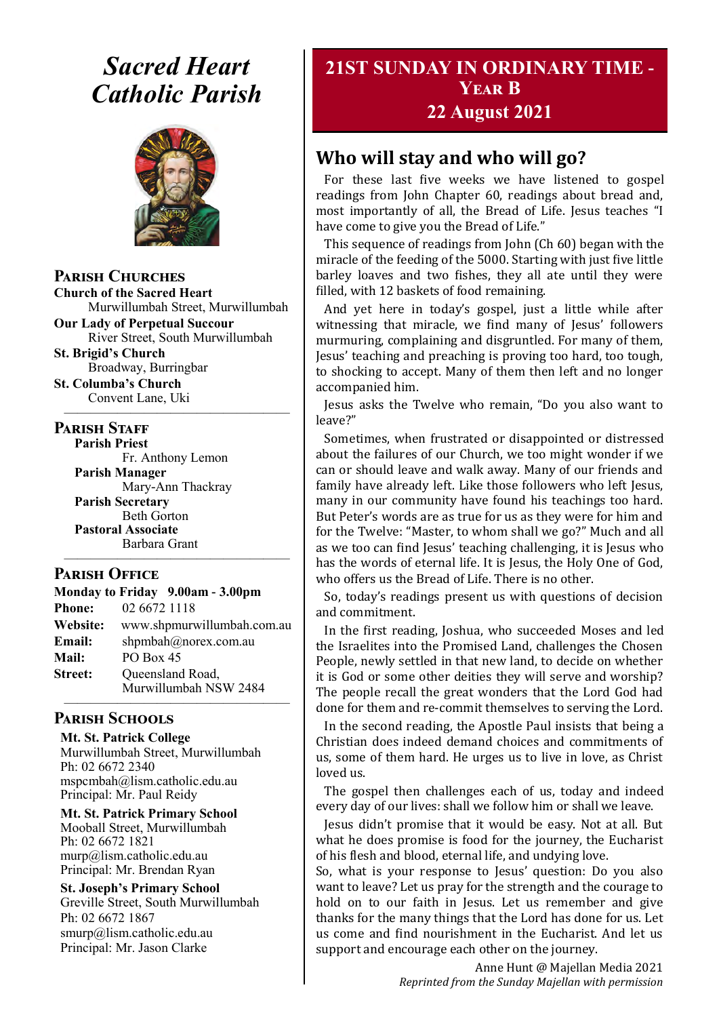# *Sacred Heart Catholic Parish*



#### **Parish Churches**

**Church of the Sacred Heart** Murwillumbah Street, Murwillumbah

**Our Lady of Perpetual Succour** River Street, South Murwillumbah

**St. Brigid's Church** Broadway, Burringbar

**St. Columba's Church** Convent Lane, Uki —————————————————

#### **PARISH STAFF**

**Parish Priest**

Fr. Anthony Lemon **Parish Manager** Mary-Ann Thackray **Parish Secretary** Beth Gorton **Pastoral Associate** Barbara Grant

#### **Parish Office**

| Monday to Friday 9.00am - 3.00pm |                                           |
|----------------------------------|-------------------------------------------|
| <b>Phone:</b>                    | 02 6672 1118                              |
| <b>Website:</b>                  | www.shpmurwillumbah.com.au                |
| Email:                           | shpmbah@norex.com.au                      |
| <b>Mail:</b>                     | PO Box 45                                 |
| <b>Street:</b>                   | Queensland Road,<br>Murwillumbah NSW 2484 |
|                                  |                                           |

—————————————————

## **Parish Schools**

**Mt. St. Patrick College** Murwillumbah Street, Murwillumbah Ph: 02 6672 2340 mspcmbah@lism.catholic.edu.au Principal: Mr. Paul Reidy

**Mt. St. Patrick Primary School** Mooball Street, Murwillumbah Ph: 02 6672 1821 murp@lism.catholic.edu.au Principal: Mr. Brendan Ryan

**St. Joseph's Primary School** Greville Street, South Murwillumbah Ph: 02 6672 1867 smurp@lism.catholic.edu.au Principal: Mr. Jason Clarke

# **21ST SUNDAY IN ORDINARY TIME - Year B**

# **22 August 2021**

# **Who will stay and who will go?**

For these last five weeks we have listened to gospel readings from John Chapter 60, readings about bread and, most importantly of all, the Bread of Life. Jesus teaches "I have come to give you the Bread of Life."

This sequence of readings from John (Ch 60) began with the miracle of the feeding of the 5000. Starting with just five little barley loaves and two fishes, they all ate until they were filled, with 12 baskets of food remaining.

And yet here in today's gospel, just a little while after witnessing that miracle, we find many of Jesus' followers murmuring, complaining and disgruntled. For many of them, Jesus' teaching and preaching is proving too hard, too tough, to shocking to accept. Many of them then left and no longer accompanied him.

Jesus asks the Twelve who remain, "Do you also want to leave?"

Sometimes, when frustrated or disappointed or distressed about the failures of our Church, we too might wonder if we can or should leave and walk away. Many of our friends and family have already left. Like those followers who left Jesus, many in our community have found his teachings too hard. But Peter's words are as true for us as they were for him and for the Twelve: "Master, to whom shall we go?" Much and all as we too can find Jesus' teaching challenging, it is Jesus who has the words of eternal life. It is Jesus, the Holy One of God, who offers us the Bread of Life. There is no other.

So, today's readings present us with questions of decision and commitment.

In the first reading, Joshua, who succeeded Moses and led the Israelites into the Promised Land, challenges the Chosen People, newly settled in that new land, to decide on whether it is God or some other deities they will serve and worship? The people recall the great wonders that the Lord God had done for them and re-commit themselves to serving the Lord.

In the second reading, the Apostle Paul insists that being a Christian does indeed demand choices and commitments of us, some of them hard. He urges us to live in love, as Christ loved us.

The gospel then challenges each of us, today and indeed every day of our lives: shall we follow him or shall we leave.

Jesus didn't promise that it would be easy. Not at all. But what he does promise is food for the journey, the Eucharist of his flesh and blood, eternal life, and undying love.

So, what is your response to Jesus' question: Do you also want to leave? Let us pray for the strength and the courage to hold on to our faith in Jesus. Let us remember and give thanks for the many things that the Lord has done for us. Let us come and find nourishment in the Eucharist. And let us support and encourage each other on the journey.

> Anne Hunt @ Majellan Media 2021 *Reprinted from the Sunday Majellan with permission*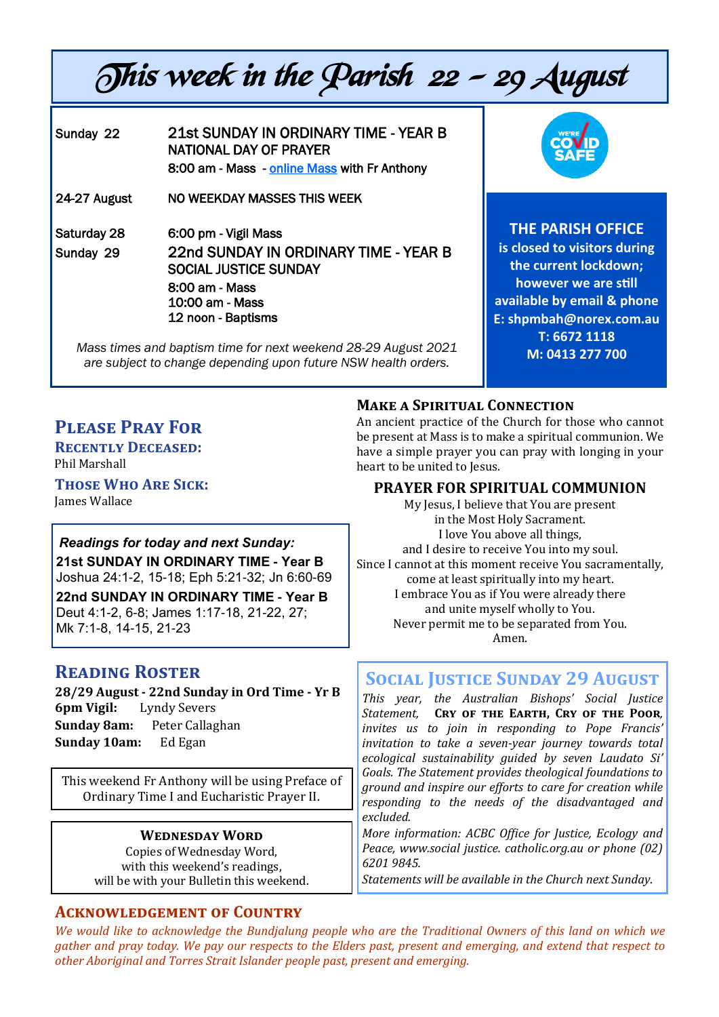# This week in the Parish 22 - 29 August

Sunday 22 21st SUNDAY IN ORDINARY TIME - YEAR B NATIONAL DAY OF PRAYER 8:00 am - Mass - [online Mass](https://www.youtube.com/channel/UCQUNxgDO5WeZpoYNeJK24gA) with Fr Anthony 24-27 August NO WEEKDAY MASSES THIS WEEK Saturday 28 6:00 pm - Vigil Mass Sunday 29 22nd SUNDAY IN ORDINARY TIME - YEAR B SOCIAL JUSTICE SUNDAY 8:00 am - Mass 10:00 am - Mass 12 noon - Baptisms

*Mass times and baptism time for next weekend 28-29 August 2021 are subject to change depending upon future NSW health orders.*



**THE PARISH OFFICE** 

**is closed to visitors during the current lockdown; however we are still available by email & phone E: shpmbah@norex.com.au T: 6672 1118 M: 0413 277 700**

# **Please Pray For**

**Recently Deceased:**  Phil Marshall

**Those Who Are Sick:**  James Wallace

#### *Readings for today and next Sunday:*

**21st SUNDAY IN ORDINARY TIME - Year B**  Joshua 24:1-2, 15-18; Eph 5:21-32; Jn 6:60-69 **22nd SUNDAY IN ORDINARY TIME - Year B**  Deut 4:1-2, 6-8; James 1:17-18, 21-22, 27; Mk 7:1-8, 14-15, 21-23

# **Reading Roster**

**28/29 August - 22nd Sunday in Ord Time - Yr B 6pm Vigil:** Lyndy Severs **Sunday 8am:** Peter Callaghan **Sunday 10am:** Ed Egan

This weekend Fr Anthony will be using Preface of Ordinary Time I and Eucharistic Prayer II.

#### **Wednesday Word**

Copies of Wednesday Word, with this weekend's readings. will be with your Bulletin this weekend.

## **Acknowledgement of Country**

## **Make a Spiritual Connection**

An ancient practice of the Church for those who cannot be present at Mass is to make a spiritual communion. We have a simple prayer you can pray with longing in your heart to be united to Jesus.

## **PRAYER FOR SPIRITUAL COMMUNION**

My Jesus, I believe that You are present in the Most Holy Sacrament. I love You above all things, and I desire to receive You into my soul. Since I cannot at this moment receive You sacramentally, come at least spiritually into my heart. I embrace You as if You were already there and unite myself wholly to You. Never permit me to be separated from You. Amen.

# **Social Justice Sunday 29 August**

*This year, the Australian Bishops' Social Justice Statement,* **Cry of the Earth, Cry of the Poor***, invites us to join in responding to Pope Francis' invitation to take a seven-year journey towards total ecological sustainability guided by seven Laudato Si' Goals. The Statement provides theological foundations to ground and inspire our efforts to care for creation while responding to the needs of the disadvantaged and excluded.* 

*More information: ACBC Office for Justice, Ecology and Peace, www.social justice. catholic.org.au or phone (02) 6201 9845.* 

*Statements will be available in the Church next Sunday.* 

*We would like to acknowledge the Bundjalung people who are the Traditional Owners of this land on which we gather and pray today. We pay our respects to the Elders past, present and emerging, and extend that respect to other Aboriginal and Torres Strait Islander people past, present and emerging.*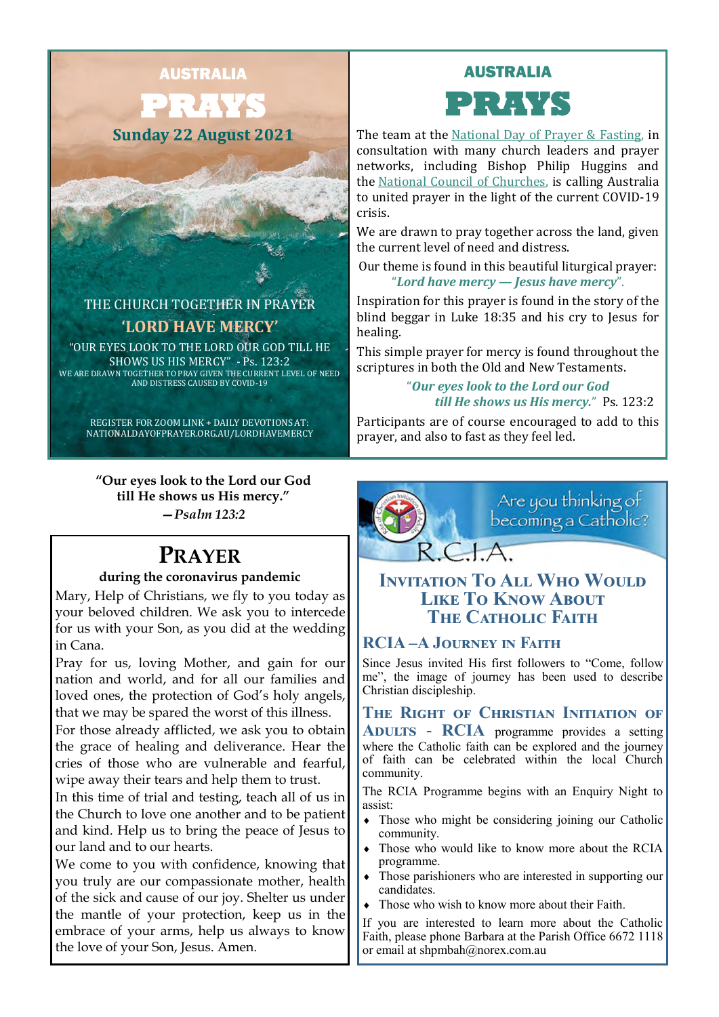AUSTRALIA

**PRAYS Sunday 22 August 2021**

THE CHURCH TOGETHER IN PRAYER **'LORD HAVE MERCY'** "OUR EYES LOOK TO THE LORD OUR GOD TILL HE SHOWS US HIS MERCY" - Ps. 123:2 WE ARE DRAWN TOGETHER TO PRAY GIVEN THE CURRENT LEVEL OF NEED AND DISTRESS CAUSED BY COVID-19



The team at the [National Day of Prayer & Fasting,](https://www.nationaldayofprayer.org.au/the-executive-team/) in consultation with many church leaders and prayer networks, including Bishop Philip Huggins and the [National Council of Churches,](https://www.ncca.org.au/) is calling Australia to united prayer in the light of the current COVID-19 crisis.

We are drawn to pray together across the land, given the current level of need and distress.

Our theme is found in this beautiful liturgical prayer: "*Lord have mercy — Jesus have mercy*".

Inspiration for this prayer is found in the story of the blind beggar in Luke 18:35 and his cry to Jesus for healing.

This simple prayer for mercy is found throughout the scriptures in both the Old and New Testaments.

> "*Our eyes look to the Lord our God till He shows us His mercy.*" Ps. 123:2

> > Are you thinking of<br>becoming a Catholic?

Participants are of course encouraged to add to this prayer, and also to fast as they feel led.

**"Our eyes look to the Lord our God till He shows us His mercy."** *—Psalm 123:2*

REGISTER FOR ZOOM LINK + DAILY DEVOTIONS AT: NATIONALDAYOFPRAYER.ORG.AU/LORDHAVEMERCY

# **PRAYER**

#### **during the coronavirus pandemic**

Mary, Help of Christians, we fly to you today as your beloved children. We ask you to intercede for us with your Son, as you did at the wedding in Cana.

Pray for us, loving Mother, and gain for our nation and world, and for all our families and loved ones, the protection of God's holy angels, that we may be spared the worst of this illness.

For those already afflicted, we ask you to obtain the grace of healing and deliverance. Hear the cries of those who are vulnerable and fearful, wipe away their tears and help them to trust.

In this time of trial and testing, teach all of us in the Church to love one another and to be patient and kind. Help us to bring the peace of Jesus to our land and to our hearts.

We come to you with confidence, knowing that you truly are our compassionate mother, health of the sick and cause of our joy. Shelter us under the mantle of your protection, keep us in the embrace of your arms, help us always to know the love of your Son, Jesus. Amen.

# $RCHA$ **INVITATION TO ALL WHO WOULD Like To Know About THE CATHOLIC FAITH**

# **RCIA –A Journey in Faith**

Since Jesus invited His first followers to "Come, follow me", the image of journey has been used to describe Christian discipleship.

**The Right of Christian Initiation of Adults - RCIA** programme provides a setting where the Catholic faith can be explored and the journey of faith can be celebrated within the local Church community.

The RCIA Programme begins with an Enquiry Night to assist:

- Those who might be considering joining our Catholic community.
- Those who would like to know more about the RCIA programme.
- Those parishioners who are interested in supporting our candidates.
- Those who wish to know more about their Faith.

If you are interested to learn more about the Catholic Faith, please phone Barbara at the Parish Office 6672 1118 or email at shpmbah@norex.com.au